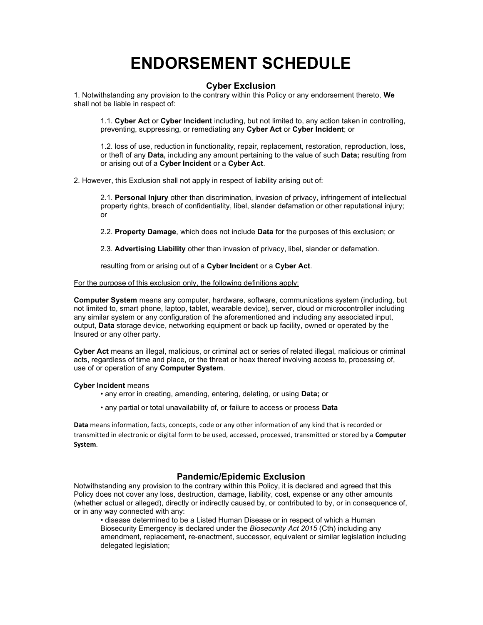# ENDORSEMENT SCHEDULE

# Cyber Exclusion

1. Notwithstanding any provision to the contrary within this Policy or any endorsement thereto, We shall not be liable in respect of:

1.1. Cyber Act or Cyber Incident including, but not limited to, any action taken in controlling, preventing, suppressing, or remediating any Cyber Act or Cyber Incident; or

1.2. loss of use, reduction in functionality, repair, replacement, restoration, reproduction, loss, or theft of any Data, including any amount pertaining to the value of such Data; resulting from or arising out of a Cyber Incident or a Cyber Act.

2. However, this Exclusion shall not apply in respect of liability arising out of:

2.1. Personal Injury other than discrimination, invasion of privacy, infringement of intellectual property rights, breach of confidentiality, libel, slander defamation or other reputational injury; or

2.2. Property Damage, which does not include Data for the purposes of this exclusion; or

2.3. Advertising Liability other than invasion of privacy, libel, slander or defamation.

resulting from or arising out of a Cyber Incident or a Cyber Act.

For the purpose of this exclusion only, the following definitions apply:

Computer System means any computer, hardware, software, communications system (including, but not limited to, smart phone, laptop, tablet, wearable device), server, cloud or microcontroller including any similar system or any configuration of the aforementioned and including any associated input, output, Data storage device, networking equipment or back up facility, owned or operated by the Insured or any other party.

Cyber Act means an illegal, malicious, or criminal act or series of related illegal, malicious or criminal acts, regardless of time and place, or the threat or hoax thereof involving access to, processing of, use of or operation of any Computer System.

### Cyber Incident means

- any error in creating, amending, entering, deleting, or using **Data**; or
- any partial or total unavailability of, or failure to access or process Data

Data means information, facts, concepts, code or any other information of any kind that is recorded or transmitted in electronic or digital form to be used, accessed, processed, transmitted or stored by a Computer System.

# Pandemic/Epidemic Exclusion

Notwithstanding any provision to the contrary within this Policy, it is declared and agreed that this Policy does not cover any loss, destruction, damage, liability, cost, expense or any other amounts (whether actual or alleged), directly or indirectly caused by, or contributed to by, or in consequence of, or in any way connected with any:

• disease determined to be a Listed Human Disease or in respect of which a Human Biosecurity Emergency is declared under the Biosecurity Act 2015 (Cth) including any amendment, replacement, re-enactment, successor, equivalent or similar legislation including delegated legislation;